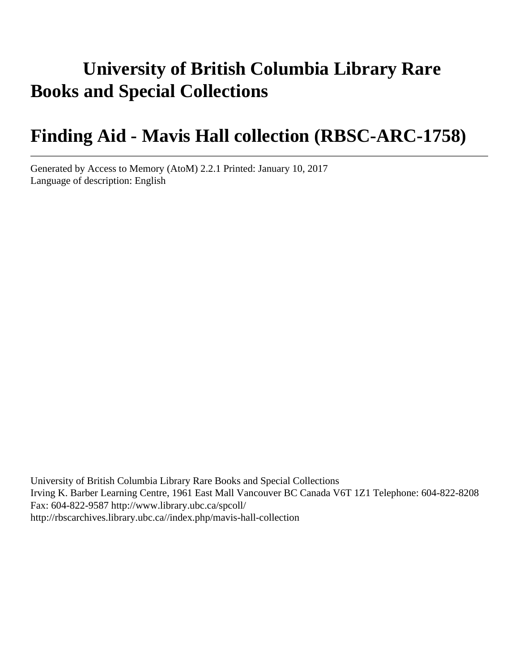# **University of British Columbia Library Rare Books and Special Collections**

## **Finding Aid - Mavis Hall collection (RBSC-ARC-1758)**

Generated by Access to Memory (AtoM) 2.2.1 Printed: January 10, 2017 Language of description: English

University of British Columbia Library Rare Books and Special Collections Irving K. Barber Learning Centre, 1961 East Mall Vancouver BC Canada V6T 1Z1 Telephone: 604-822-8208 Fax: 604-822-9587 http://www.library.ubc.ca/spcoll/ http://rbscarchives.library.ubc.ca//index.php/mavis-hall-collection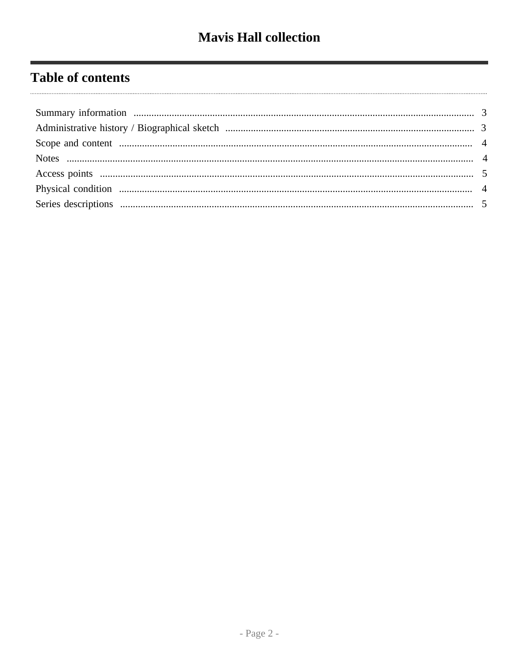## **Table of contents**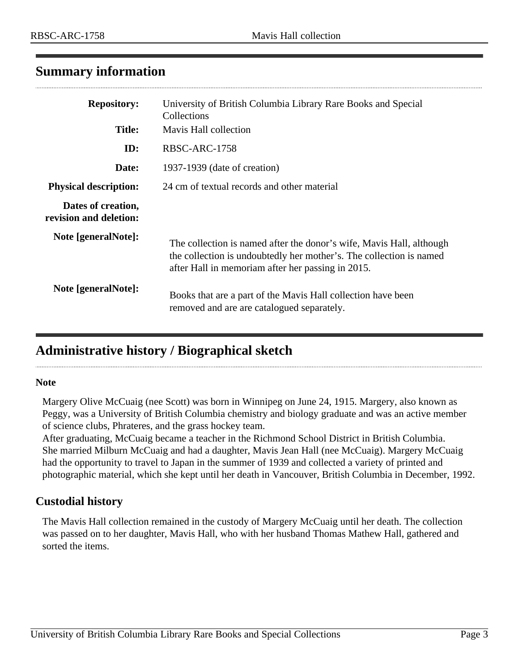### <span id="page-2-0"></span>**Summary information**

| <b>Repository:</b>                           | University of British Columbia Library Rare Books and Special<br>Collections                                                                                                                     |
|----------------------------------------------|--------------------------------------------------------------------------------------------------------------------------------------------------------------------------------------------------|
| <b>Title:</b>                                | Mavis Hall collection                                                                                                                                                                            |
| ID:                                          | RBSC-ARC-1758                                                                                                                                                                                    |
| Date:                                        | 1937-1939 (date of creation)                                                                                                                                                                     |
| <b>Physical description:</b>                 | 24 cm of textual records and other material                                                                                                                                                      |
| Dates of creation,<br>revision and deletion: |                                                                                                                                                                                                  |
| Note [generalNote]:                          | The collection is named after the donor's wife, Mavis Hall, although<br>the collection is undoubtedly her mother's. The collection is named<br>after Hall in memoriam after her passing in 2015. |
| Note [generalNote]:                          | Books that are a part of the Mavis Hall collection have been<br>removed and are are catalogued separately.                                                                                       |

### <span id="page-2-1"></span>**Administrative history / Biographical sketch**

#### **Note**

Margery Olive McCuaig (nee Scott) was born in Winnipeg on June 24, 1915. Margery, also known as Peggy, was a University of British Columbia chemistry and biology graduate and was an active member of science clubs, Phrateres, and the grass hockey team.

After graduating, McCuaig became a teacher in the Richmond School District in British Columbia. She married Milburn McCuaig and had a daughter, Mavis Jean Hall (nee McCuaig). Margery McCuaig had the opportunity to travel to Japan in the summer of 1939 and collected a variety of printed and photographic material, which she kept until her death in Vancouver, British Columbia in December, 1992.

#### **Custodial history**

The Mavis Hall collection remained in the custody of Margery McCuaig until her death. The collection was passed on to her daughter, Mavis Hall, who with her husband Thomas Mathew Hall, gathered and sorted the items.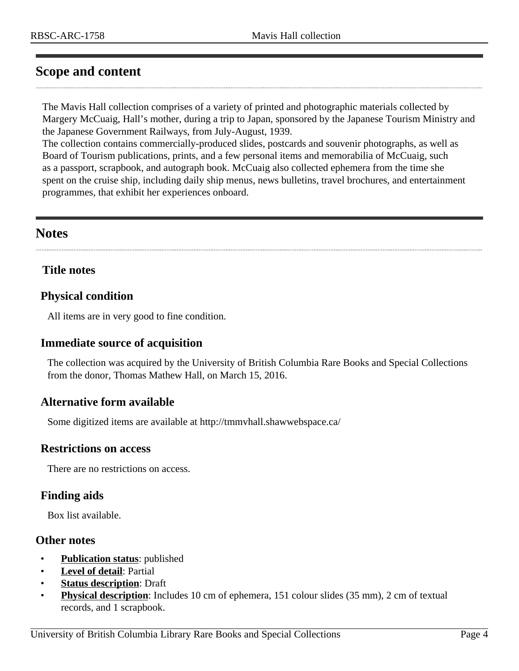### <span id="page-3-0"></span>**Scope and content**

The Mavis Hall collection comprises of a variety of printed and photographic materials collected by Margery McCuaig, Hall's mother, during a trip to Japan, sponsored by the Japanese Tourism Ministry and the Japanese Government Railways, from July-August, 1939.

The collection contains commercially-produced slides, postcards and souvenir photographs, as well as Board of Tourism publications, prints, and a few personal items and memorabilia of McCuaig, such as a passport, scrapbook, and autograph book. McCuaig also collected ephemera from the time she spent on the cruise ship, including daily ship menus, news bulletins, travel brochures, and entertainment programmes, that exhibit her experiences onboard.

#### <span id="page-3-1"></span>**Notes**

#### **Title notes**

#### <span id="page-3-2"></span>**Physical condition**

All items are in very good to fine condition.

#### **Immediate source of acquisition**

The collection was acquired by the University of British Columbia Rare Books and Special Collections from the donor, Thomas Mathew Hall, on March 15, 2016.

#### **Alternative form available**

Some digitized items are available at http://tmmvhall.shawwebspace.ca/

#### **Restrictions on access**

There are no restrictions on access.

#### **Finding aids**

Box list available.

#### **Other notes**

- **Publication status:** published
- **Level of detail**: Partial
- **Status description**: Draft
- **Physical description**: Includes 10 cm of ephemera, 151 colour slides (35 mm), 2 cm of textual records, and 1 scrapbook.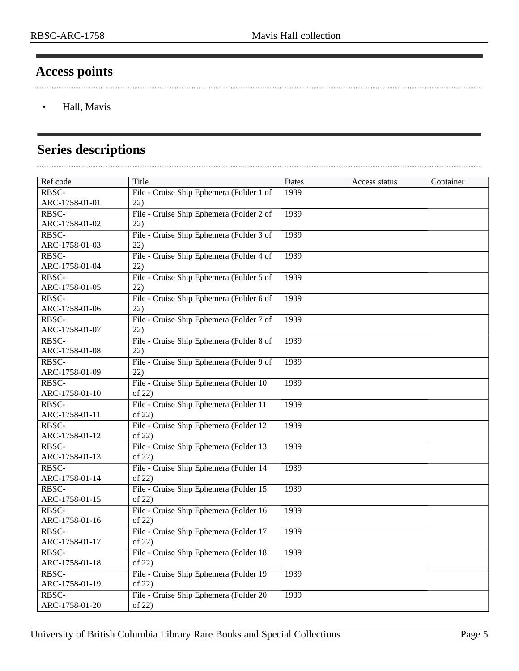. . . . .

### <span id="page-4-0"></span>**Access points**

• Hall, Mavis

### <span id="page-4-1"></span>**Series descriptions**

| Ref code          | Title                                    | Dates | Access status | Container |
|-------------------|------------------------------------------|-------|---------------|-----------|
| RBSC-             | File - Cruise Ship Ephemera (Folder 1 of | 1939  |               |           |
| ARC-1758-01-01    | 22)                                      |       |               |           |
| RBSC-             | File - Cruise Ship Ephemera (Folder 2 of | 1939  |               |           |
| ARC-1758-01-02    | 22)                                      |       |               |           |
| RBSC-             | File - Cruise Ship Ephemera (Folder 3 of | 1939  |               |           |
| ARC-1758-01-03    | 22)                                      |       |               |           |
| RBSC-             | File - Cruise Ship Ephemera (Folder 4 of | 1939  |               |           |
| ARC-1758-01-04    | 22)                                      |       |               |           |
| RBSC-             | File - Cruise Ship Ephemera (Folder 5 of | 1939  |               |           |
| ARC-1758-01-05    | 22)                                      |       |               |           |
| RBSC-             | File - Cruise Ship Ephemera (Folder 6 of | 1939  |               |           |
| ARC-1758-01-06    | 22)                                      |       |               |           |
| RBSC-             | File - Cruise Ship Ephemera (Folder 7 of | 1939  |               |           |
| ARC-1758-01-07    | 22)                                      |       |               |           |
| RBSC-             | File - Cruise Ship Ephemera (Folder 8 of | 1939  |               |           |
| ARC-1758-01-08    | 22)                                      |       |               |           |
| RBSC-             | File - Cruise Ship Ephemera (Folder 9 of | 1939  |               |           |
| ARC-1758-01-09    | 22)                                      |       |               |           |
| RBSC-             | File - Cruise Ship Ephemera (Folder 10)  | 1939  |               |           |
| ARC-1758-01-10    | of 22)                                   |       |               |           |
| RBSC-             | File - Cruise Ship Ephemera (Folder 11   | 1939  |               |           |
| ARC-1758-01-11    | of 22)                                   |       |               |           |
| RBSC-             | File - Cruise Ship Ephemera (Folder 12)  | 1939  |               |           |
| ARC-1758-01-12    | of 22)                                   |       |               |           |
| RBSC-             | File - Cruise Ship Ephemera (Folder 13)  | 1939  |               |           |
| ARC-1758-01-13    | of 22)                                   |       |               |           |
| RBSC-             | File - Cruise Ship Ephemera (Folder 14   | 1939  |               |           |
| ARC-1758-01-14    | of 22)                                   |       |               |           |
| RBSC-             | File - Cruise Ship Ephemera (Folder 15   | 1939  |               |           |
| ARC-1758-01-15    | of 22)                                   |       |               |           |
| RBSC-             | File - Cruise Ship Ephemera (Folder 16   | 1939  |               |           |
| ARC-1758-01-16    | of 22)                                   |       |               |           |
| RBSC-             | File - Cruise Ship Ephemera (Folder 17   | 1939  |               |           |
| ARC-1758-01-17    | of $22$                                  |       |               |           |
| RBSC-             | File - Cruise Ship Ephemera (Folder 18   | 1939  |               |           |
| ARC-1758-01-18    | of 22)                                   |       |               |           |
| RBSC-             | File - Cruise Ship Ephemera (Folder 19)  | 1939  |               |           |
| ARC-1758-01-19    | of 22)                                   |       |               |           |
| $R\overline{BSC}$ | File - Cruise Ship Ephemera (Folder 20   | 1939  |               |           |
| ARC-1758-01-20    | of 22)                                   |       |               |           |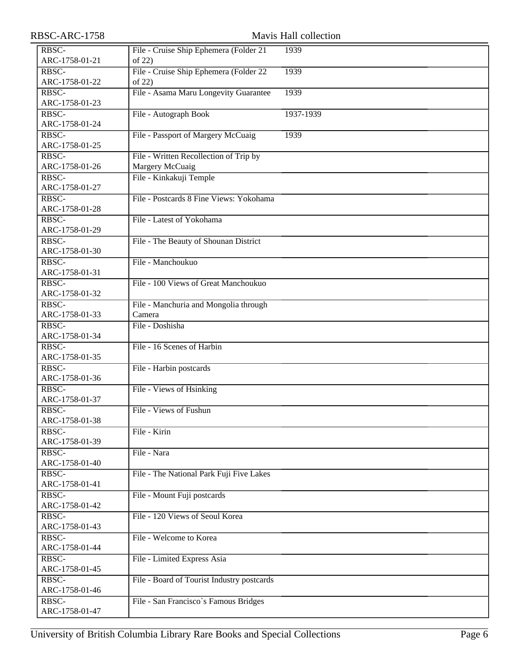| RBSC-ARC-1758  |                                            | Mavis Hall collection |
|----------------|--------------------------------------------|-----------------------|
| RBSC-          | File - Cruise Ship Ephemera (Folder 21     | 1939                  |
| ARC-1758-01-21 | of 22)                                     |                       |
| RBSC-          | File - Cruise Ship Ephemera (Folder 22     | 1939                  |
| ARC-1758-01-22 | of 22)                                     |                       |
| RBSC-          | File - Asama Maru Longevity Guarantee      | 1939                  |
| ARC-1758-01-23 |                                            |                       |
| RBSC-          | File - Autograph Book                      | 1937-1939             |
| ARC-1758-01-24 |                                            |                       |
| RBSC-          | File - Passport of Margery McCuaig         | 1939                  |
| ARC-1758-01-25 |                                            |                       |
| RBSC-          | File - Written Recollection of Trip by     |                       |
| ARC-1758-01-26 | Margery McCuaig                            |                       |
| RBSC-          | File - Kinkakuji Temple                    |                       |
| ARC-1758-01-27 |                                            |                       |
| RBSC-          | File - Postcards 8 Fine Views: Yokohama    |                       |
| ARC-1758-01-28 |                                            |                       |
| RBSC-          | File - Latest of Yokohama                  |                       |
| ARC-1758-01-29 |                                            |                       |
| RBSC-          | File - The Beauty of Shounan District      |                       |
| ARC-1758-01-30 |                                            |                       |
| RBSC-          | File - Manchoukuo                          |                       |
| ARC-1758-01-31 |                                            |                       |
| RBSC-          | File - 100 Views of Great Manchoukuo       |                       |
| ARC-1758-01-32 |                                            |                       |
| RBSC-          | File - Manchuria and Mongolia through      |                       |
| ARC-1758-01-33 | Camera                                     |                       |
| RBSC-          | File - Doshisha                            |                       |
| ARC-1758-01-34 |                                            |                       |
| RBSC-          | File - 16 Scenes of Harbin                 |                       |
| ARC-1758-01-35 |                                            |                       |
| RBSC-          | File - Harbin postcards                    |                       |
| ARC-1758-01-36 |                                            |                       |
| RBSC-          | File - Views of Hsinking                   |                       |
| ARC-1758-01-37 |                                            |                       |
| RBSC-          | File - Views of Fushun                     |                       |
| ARC-1758-01-38 |                                            |                       |
| RBSC-          | File - Kirin                               |                       |
| ARC-1758-01-39 |                                            |                       |
| RBSC-          | File - Nara                                |                       |
| ARC-1758-01-40 |                                            |                       |
| RBSC-          | File - The National Park Fuji Five Lakes   |                       |
| ARC-1758-01-41 |                                            |                       |
| RBSC-          | File - Mount Fuji postcards                |                       |
| ARC-1758-01-42 |                                            |                       |
| RBSC-          | File - 120 Views of Seoul Korea            |                       |
| ARC-1758-01-43 |                                            |                       |
| RBSC-          | File - Welcome to Korea                    |                       |
| ARC-1758-01-44 |                                            |                       |
| RBSC-          | File - Limited Express Asia                |                       |
| ARC-1758-01-45 |                                            |                       |
| RBSC-          | File - Board of Tourist Industry postcards |                       |
| ARC-1758-01-46 |                                            |                       |
| RBSC-          | File - San Francisco's Famous Bridges      |                       |
| ARC-1758-01-47 |                                            |                       |